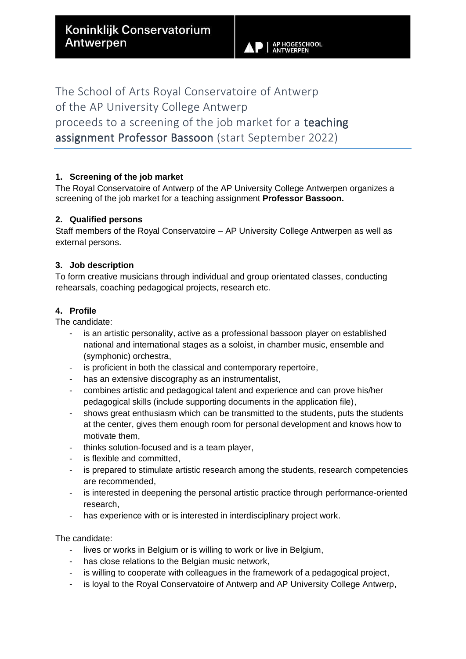**AP HOGESCHOOL**<br>ANTWERPEN

The School of Arts Royal Conservatoire of Antwerp of the AP University College Antwerp proceeds to a screening of the job market for a teaching assignment Professor Bassoon (start September 2022)

# **1. Screening of the job market**

The Royal Conservatoire of Antwerp of the AP University College Antwerpen organizes a screening of the job market for a teaching assignment **Professor Bassoon.**

## **2. Qualified persons**

Staff members of the Royal Conservatoire – AP University College Antwerpen as well as external persons.

# **3. Job description**

To form creative musicians through individual and group orientated classes, conducting rehearsals, coaching pedagogical projects, research etc.

# **4. Profile**

The candidate:

- is an artistic personality, active as a professional bassoon player on established national and international stages as a soloist, in chamber music, ensemble and (symphonic) orchestra,
- is proficient in both the classical and contemporary repertoire,
- has an extensive discography as an instrumentalist,
- combines artistic and pedagogical talent and experience and can prove his/her pedagogical skills (include supporting documents in the application file),
- shows great enthusiasm which can be transmitted to the students, puts the students at the center, gives them enough room for personal development and knows how to motivate them,
- thinks solution-focused and is a team player,
- is flexible and committed.
- is prepared to stimulate artistic research among the students, research competencies are recommended,
- is interested in deepening the personal artistic practice through performance-oriented research,
- has experience with or is interested in interdisciplinary project work.

## The candidate:

- lives or works in Belgium or is willing to work or live in Belgium,
- has close relations to the Belgian music network,
- is willing to cooperate with colleagues in the framework of a pedagogical project,
- is loyal to the Royal Conservatoire of Antwerp and AP University College Antwerp,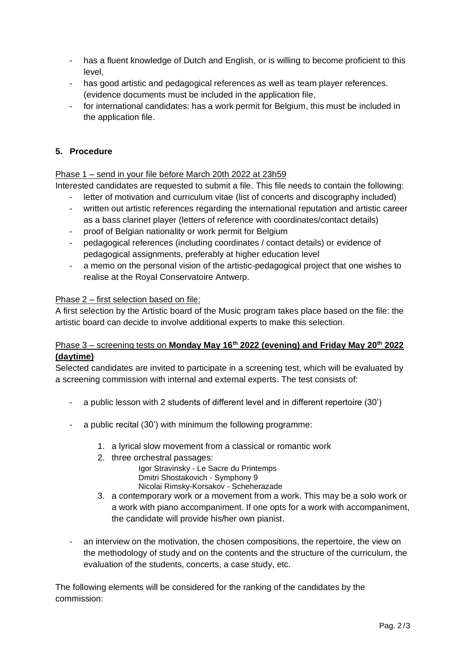- has a fluent knowledge of Dutch and English, or is willing to become proficient to this level,
- has good artistic and pedagogical references as well as team player references. (evidence documents must be included in the application file,
- for international candidates: has a work permit for Belgium, this must be included in the application file.

## **5. Procedure**

### Phase 1 – send in your file before March 20th 2022 at 23h59

Interested candidates are requested to submit a file. This file needs to contain the following:

- letter of motivation and curriculum vitae (list of concerts and discography included)
- written out artistic references regarding the international reputation and artistic career as a bass clarinet player (letters of reference with coordinates/contact details)
- proof of Belgian nationality or work permit for Belgium
- pedagogical references (including coordinates / contact details) or evidence of pedagogical assignments, preferably at higher education level
- a memo on the personal vision of the artistic-pedagogical project that one wishes to realise at the Royal Conservatoire Antwerp.

## Phase 2 – first selection based on file:

A first selection by the Artistic board of the Music program takes place based on the file: the artistic board can decide to involve additional experts to make this selection.

## Phase 3 – screening tests on **Monday May 16th 2022 (evening) and Friday May 20th 2022 (daytime)**

Selected candidates are invited to participate in a screening test, which will be evaluated by a screening commission with internal and external experts. The test consists of:

- a public lesson with 2 students of different level and in different repertoire (30')
- a public recital (30') with minimum the following programme:
	- 1. a lyrical slow movement from a classical or romantic work
	- 2. three orchestral passages:

 Igor Stravinsky - Le Sacre du Printemps Dmitri Shostakovich - Symphony 9 Nicolai Rimsky-Korsakov - Scheherazade

- 3. a contemporary work or a movement from a work. This may be a solo work or a work with piano accompaniment. If one opts for a work with accompaniment, the candidate will provide his/her own pianist.
- an interview on the motivation, the chosen compositions, the repertoire, the view on the methodology of study and on the contents and the structure of the curriculum, the evaluation of the students, concerts, a case study, etc.

The following elements will be considered for the ranking of the candidates by the commission: